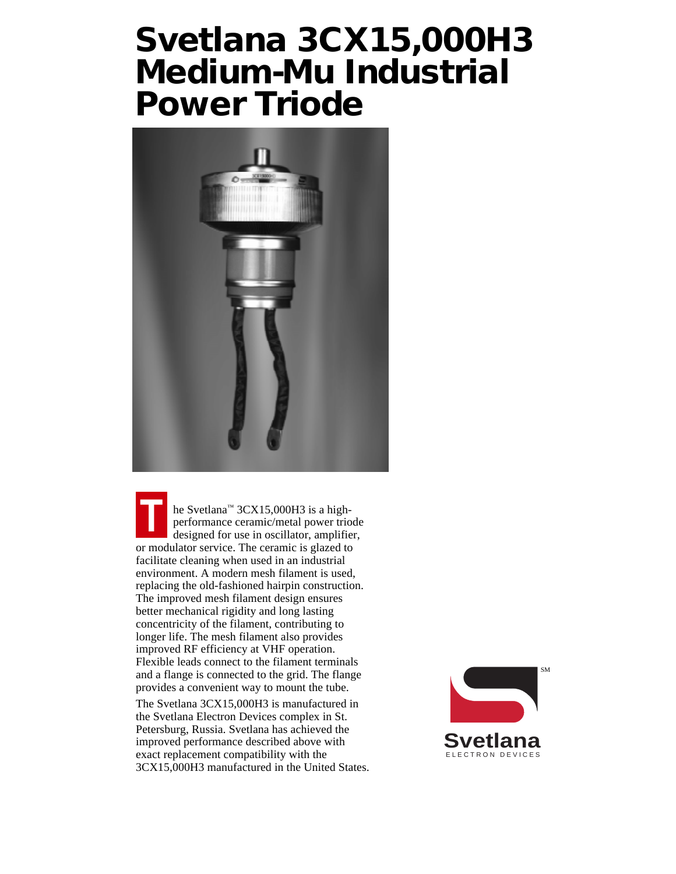# **Svetlana 3CX15,000H3 Medium-Mu Industrial Power Triode**



he Svetlana<sup>™</sup> 3CX15,000H3 is a highperformance ceramic/metal power triode designed for use in oscillator, amplifier, or modulator service. The ceramic is glazed to facilitate cleaning when used in an industrial environment. A modern mesh filament is used, replacing the old-fashioned hairpin construction. The improved mesh filament design ensures better mechanical rigidity and long lasting concentricity of the filament, contributing to longer life. The mesh filament also provides improved RF efficiency at VHF operation. Flexible leads connect to the filament terminals and a flange is connected to the grid. The flange provides a convenient way to mount the tube.

The Svetlana 3CX15,000H3 is manufactured in the Svetlana Electron Devices complex in St. Petersburg, Russia. Svetlana has achieved the improved performance described above with exact replacement compatibility with the 3CX15,000H3 manufactured in the United States.

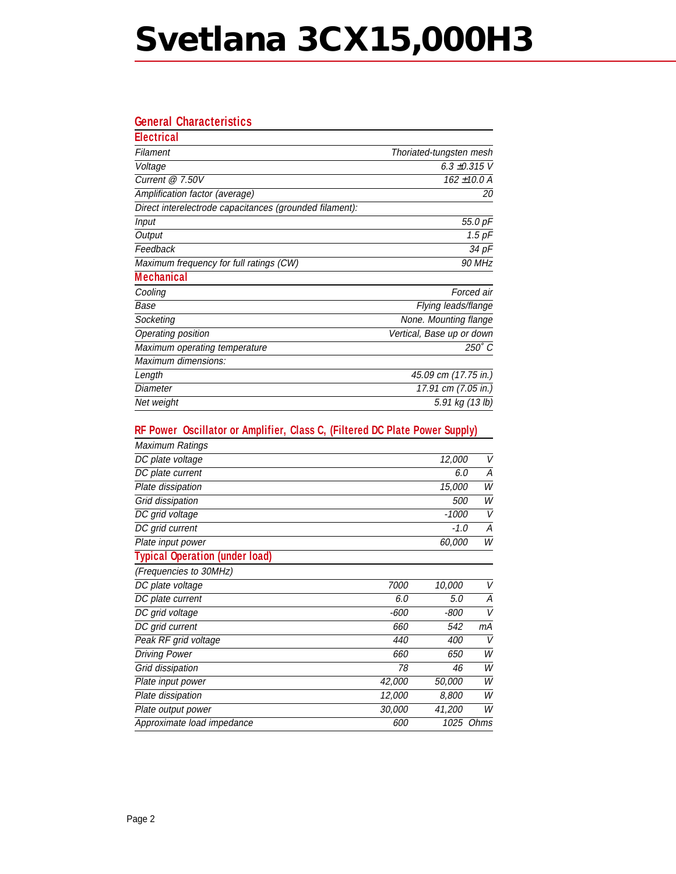# **Svetlana 3CX15,000H3**

## **General Characteristics**

| <b>Electrical</b>                                       |                           |
|---------------------------------------------------------|---------------------------|
| Filament                                                | Thoriated-tungsten mesh   |
| Voltage                                                 | 6.3 ±0.315 V              |
| Current $@7.50V$                                        | 162 ±10.0 A               |
| Amplification factor (average)                          | 20                        |
| Direct interelectrode capacitances (grounded filament): |                           |
| Input                                                   | 55.0 pF                   |
| Output                                                  | $1.5$ $pF$                |
| Feedback                                                | 34 pF                     |
| Maximum frequency for full ratings (CW)                 | 90 MHz                    |
| <b>Mechanical</b>                                       |                           |
| Cooling                                                 | Forced air                |
| Base                                                    | Flying leads/flange       |
| Socketing                                               | None. Mounting flange     |
| Operating position                                      | Vertical, Base up or down |
| Maximum operating temperature                           | $250^\circ C$             |
| Maximum dimensions:                                     |                           |
| Length                                                  | 45.09 cm (17.75 in.)      |
| Diameter                                                | 17.91 cm (7.05 in.)       |
| Net weight                                              | 5.91 kg (13 lb)           |

### **RF Power Oscillator or Amplifier, Class C, (Filtered DC Plate Power Supply)**

| Maximum Ratings                       |        |            |           |
|---------------------------------------|--------|------------|-----------|
| DC plate voltage                      |        | 12,000     | V         |
| DC plate current                      |        | 6.0        | A         |
| Plate dissipation                     |        | 15,000     | W         |
| Grid dissipation                      |        | <i>500</i> | W         |
| DC grid voltage                       |        | -1000      | V         |
| DC grid current                       |        | $-1.0$     | А         |
| Plate input power                     |        | 60,000     | W         |
| <b>Typical Operation (under load)</b> |        |            |           |
| (Frequencies to 30MHz)                |        |            |           |
| DC plate voltage                      | 7000   | 10,000     | V         |
| DC plate current                      | 6.0    | 5.0        | A         |
| DC grid voltage                       | -600   | -800       | V         |
| DC grid current                       | 660    | 542        | mА        |
| Peak RF grid voltage                  | 440    | 400        | V         |
| <b>Driving Power</b>                  | 660    | 650        | W         |
| Grid dissipation                      | 78     | 46         | W         |
| Plate input power                     | 42,000 | 50,000     | W         |
| Plate dissipation                     | 12,000 | 8,800      | W         |
| Plate output power                    | 30,000 | 41,200     | W         |
| Approximate load impedance            | 600    |            | 1025 Ohms |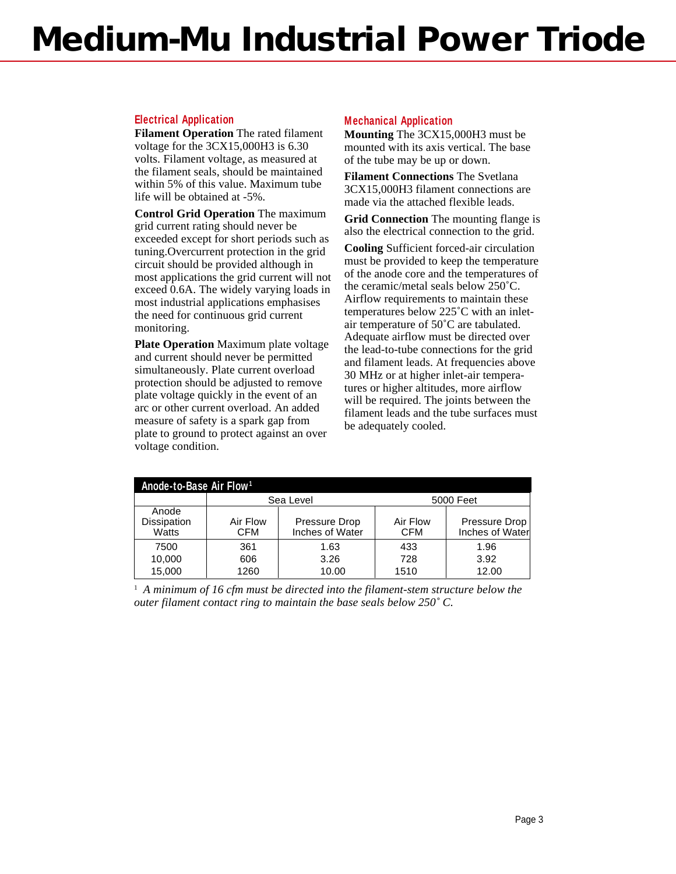# **Medium-Mu Industrial Power Triode**

### **Electrical Application**

**Filament Operation** The rated filament voltage for the 3CX15,000H3 is 6.30 volts. Filament voltage, as measured at the filament seals, should be maintained within 5% of this value. Maximum tube life will be obtained at -5%.

**Control Grid Operation** The maximum grid current rating should never be exceeded except for short periods such as tuning.Overcurrent protection in the grid circuit should be provided although in most applications the grid current will not exceed 0.6A. The widely varying loads in most industrial applications emphasises the need for continuous grid current monitoring.

**Plate Operation** Maximum plate voltage and current should never be permitted simultaneously. Plate current overload protection should be adjusted to remove plate voltage quickly in the event of an arc or other current overload. An added measure of safety is a spark gap from plate to ground to protect against an over voltage condition.

### **Mechanical Application**

**Mounting** The 3CX15,000H3 must be mounted with its axis vertical. The base of the tube may be up or down.

**Filament Connections** The Svetlana 3CX15,000H3 filament connections are made via the attached flexible leads.

**Grid Connection** The mounting flange is also the electrical connection to the grid.

**Cooling** Sufficient forced-air circulation must be provided to keep the temperature of the anode core and the temperatures of the ceramic/metal seals below 250˚C. Airflow requirements to maintain these temperatures below 225˚C with an inletair temperature of 50˚C are tabulated. Adequate airflow must be directed over the lead-to-tube connections for the grid and filament leads. At frequencies above 30 MHz or at higher inlet-air temperatures or higher altitudes, more airflow will be required. The joints between the filament leads and the tube surfaces must be adequately cooled.

| Anode-to-Base Air Flow <sup>1</sup> |                        |                                  |                        |                                  |  |  |  |
|-------------------------------------|------------------------|----------------------------------|------------------------|----------------------------------|--|--|--|
|                                     |                        | Sea Level                        | 5000 Feet              |                                  |  |  |  |
| Anode<br>Dissipation<br>Watts       | Air Flow<br><b>CFM</b> | Pressure Drop<br>Inches of Water | Air Flow<br><b>CFM</b> | Pressure Drop<br>Inches of Water |  |  |  |
| 7500                                | 361                    | 1.63                             | 433                    | 1.96                             |  |  |  |
| 10,000                              | 606                    | 3.26                             | 728                    | 3.92                             |  |  |  |
| 15,000                              | 1260                   | 10.00                            | 1510                   | 12.00                            |  |  |  |

<sup>1</sup> A minimum of 16 cfm must be directed into the filament-stem structure below the *outer filament contact ring to maintain the base seals below 250˚ C.*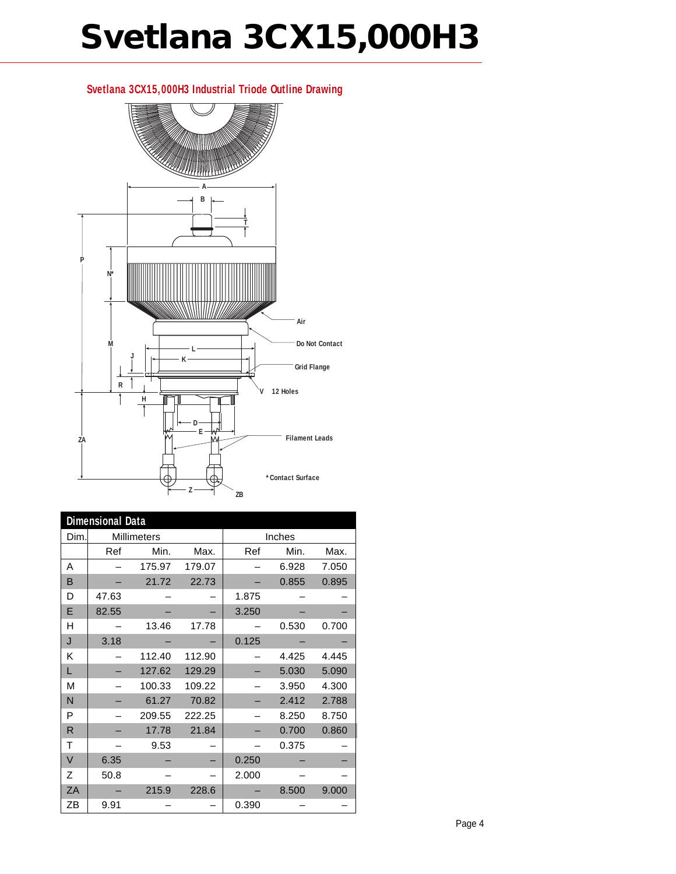# **Svetlana 3CX15,000H3**

# **A V R K J L M**  $\leftarrow$  **L P N\* B T H E D Z ZA Air Do Not Contact Grid Flange 12 Holes Filament Leads ZB \*Contact Surface**

| <b>Dimensional Data</b> |                    |        |        |        |       |       |  |
|-------------------------|--------------------|--------|--------|--------|-------|-------|--|
| Dim.                    | <b>Millimeters</b> |        |        | Inches |       |       |  |
|                         | Ref                | Min.   | Max.   | Ref    | Min.  | Max.  |  |
| A                       |                    | 175.97 | 179.07 |        | 6.928 | 7.050 |  |
| в                       |                    | 21.72  | 22.73  |        | 0.855 | 0.895 |  |
| D                       | 47.63              |        |        | 1.875  |       |       |  |
| E                       | 82.55              |        |        | 3.250  |       |       |  |
| н                       |                    | 13.46  | 17.78  |        | 0.530 | 0.700 |  |
| J                       | 3.18               |        |        | 0.125  |       |       |  |
| κ                       |                    | 112.40 | 112.90 |        | 4.425 | 4.445 |  |
| L                       |                    | 127.62 | 129.29 |        | 5.030 | 5.090 |  |
| M                       |                    | 100.33 | 109.22 |        | 3.950 | 4.300 |  |
| N                       |                    | 61.27  | 70.82  |        | 2.412 | 2.788 |  |
| P                       |                    | 209.55 | 222.25 |        | 8.250 | 8.750 |  |
| R                       |                    | 17.78  | 21.84  |        | 0.700 | 0.860 |  |
| T                       |                    | 9.53   |        |        | 0.375 |       |  |
| V                       | 6.35               |        |        | 0.250  |       |       |  |
| Z                       | 50.8               |        |        | 2.000  |       |       |  |
| ZA                      |                    | 215.9  | 228.6  |        | 8.500 | 9.000 |  |
| ΖB                      | 9.91               |        |        | 0.390  |       |       |  |

### **Svetlana 3CX15,000H3 Industrial Triode Outline Drawing**